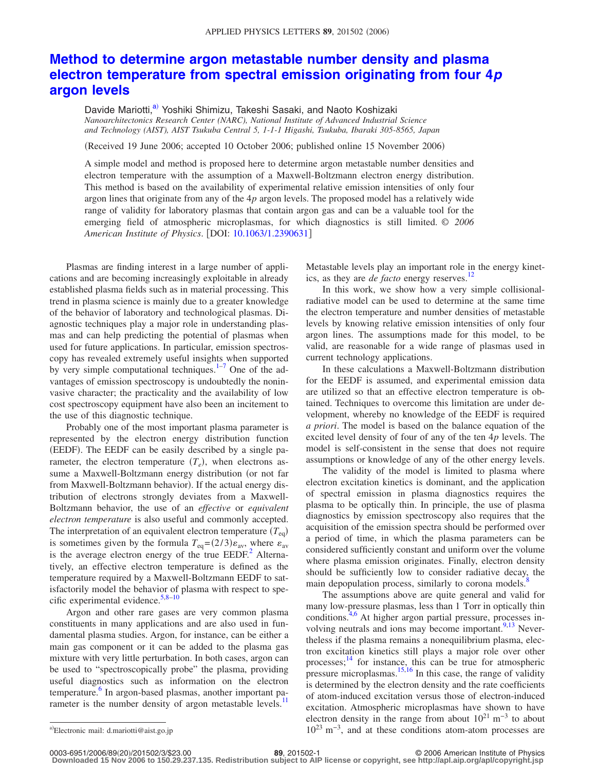## **[Method to determine argon metastable number density and plasma](http://dx.doi.org/10.1063/1.2390631) [electron temperature from spectral emission originating from four 4](http://dx.doi.org/10.1063/1.2390631)***p* **[argon levels](http://dx.doi.org/10.1063/1.2390631)**

Davide Mariotti,<sup>a)</sup> Yoshiki Shimizu, Takeshi Sasaki, and Naoto Koshizaki *Nanoarchitectonics Research Center (NARC), National Institute of Advanced Industrial Science and Technology (AIST), AIST Tsukuba Central 5, 1-1-1 Higashi, Tsukuba, Ibaraki 305-8565, Japan*

(Received 19 June 2006; accepted 10 October 2006; published online 15 November 2006)

A simple model and method is proposed here to determine argon metastable number densities and electron temperature with the assumption of a Maxwell-Boltzmann electron energy distribution. This method is based on the availability of experimental relative emission intensities of only four argon lines that originate from any of the 4*p* argon levels. The proposed model has a relatively wide range of validity for laboratory plasmas that contain argon gas and can be a valuable tool for the emerging field of atmospheric microplasmas, for which diagnostics is still limited. © *2006 American Institute of Physics*. DOI: [10.1063/1.2390631](http://dx.doi.org/10.1063/1.2390631)

Plasmas are finding interest in a large number of applications and are becoming increasingly exploitable in already established plasma fields such as in material processing. This trend in plasma science is mainly due to a greater knowledge of the behavior of laboratory and technological plasmas. Diagnostic techniques play a major role in understanding plasmas and can help predicting the potential of plasmas when used for future applications. In particular, emission spectroscopy has revealed extremely useful insights when supported by very simple computational techniques. $1-7$  One of the advantages of emission spectroscopy is undoubtedly the noninvasive character; the practicality and the availability of low cost spectroscopy equipment have also been an incitement to the use of this diagnostic technique.

Probably one of the most important plasma parameter is represented by the electron energy distribution function (EEDF). The EEDF can be easily described by a single parameter, the electron temperature  $(T_e)$ , when electrons assume a Maxwell-Boltzmann energy distribution (or not far from Maxwell-Boltzmann behavior). If the actual energy distribution of electrons strongly deviates from a Maxwell-Boltzmann behavior, the use of an *effective* or *equivalent electron temperature* is also useful and commonly accepted. The interpretation of an equivalent electron temperature  $(T_{eq})$ is sometimes given by the formula  $T_{eq} = (2/3)\varepsilon_{av}$ , where  $\varepsilon_{av}$ is the average electron energy of the true  $EEDF<sup>2</sup>$ . Alternatively, an effective electron temperature is defined as the temperature required by a Maxwell-Boltzmann EEDF to satisfactorily model the behavior of plasma with respect to specific experimental evidence. $5,8-10$  $5,8-10$  $5,8-10$ 

Argon and other rare gases are very common plasma constituents in many applications and are also used in fundamental plasma studies. Argon, for instance, can be either a main gas component or it can be added to the plasma gas mixture with very little perturbation. In both cases, argon can be used to "spectroscopically probe" the plasma, providing useful diagnostics such as information on the electron temperature.<sup>6</sup> In argon-based plasmas, another important parameter is the number density of argon metastable levels.<sup>11</sup> Metastable levels play an important role in the energy kinetics, as they are *de facto* energy reserves. [12](#page-2-8)

In this work, we show how a very simple collisionalradiative model can be used to determine at the same time the electron temperature and number densities of metastable levels by knowing relative emission intensities of only four argon lines. The assumptions made for this model, to be valid, are reasonable for a wide range of plasmas used in current technology applications.

In these calculations a Maxwell-Boltzmann distribution for the EEDF is assumed, and experimental emission data are utilized so that an effective electron temperature is obtained. Techniques to overcome this limitation are under development, whereby no knowledge of the EEDF is required *a priori*. The model is based on the balance equation of the excited level density of four of any of the ten 4*p* levels. The model is self-consistent in the sense that does not require assumptions or knowledge of any of the other energy levels.

The validity of the model is limited to plasma where electron excitation kinetics is dominant, and the application of spectral emission in plasma diagnostics requires the plasma to be optically thin. In principle, the use of plasma diagnostics by emission spectroscopy also requires that the acquisition of the emission spectra should be performed over a period of time, in which the plasma parameters can be considered sufficiently constant and uniform over the volume where plasma emission originates. Finally, electron density should be sufficiently low to consider radiative decay, the main depopulation process, similarly to corona models.<sup>8</sup>

The assumptions above are quite general and valid for many low-pressure plasmas, less than 1 Torr in optically thin conditions. $4.6$  $4.6$  At higher argon partial pressure, processes in-volving neutrals and ions may become important.<sup>9[,13](#page-2-10)</sup> Nevertheless if the plasma remains a nonequilibrium plasma, electron excitation kinetics still plays a major role over other processes;<sup>[14](#page-2-11)</sup> for instance, this can be true for atmospheric pressure microplasmas.<sup>15[,16](#page-2-13)</sup> In this case, the range of validity is determined by the electron density and the rate coefficients of atom-induced excitation versus those of electron-induced excitation. Atmospheric microplasmas have shown to have electron density in the range from about  $10^{21}$  m<sup>-3</sup> to about  $10^{23}$  m<sup>-3</sup>, and at these conditions atom-atom processes are

0003-6951/2006/89(20)/201502/3/\$23.00

20/201502/3/\$23.00 © 2006 American Institute of Physics **89**, 201502-1 **Downloaded 15 Nov 2006 to 150.29.237.135. Redistribution subject to AIP license or copyright, see http://apl.aip.org/apl/copyright.jsp**

<span id="page-0-0"></span>Electronic mail: d.mariotti@aist.go.jp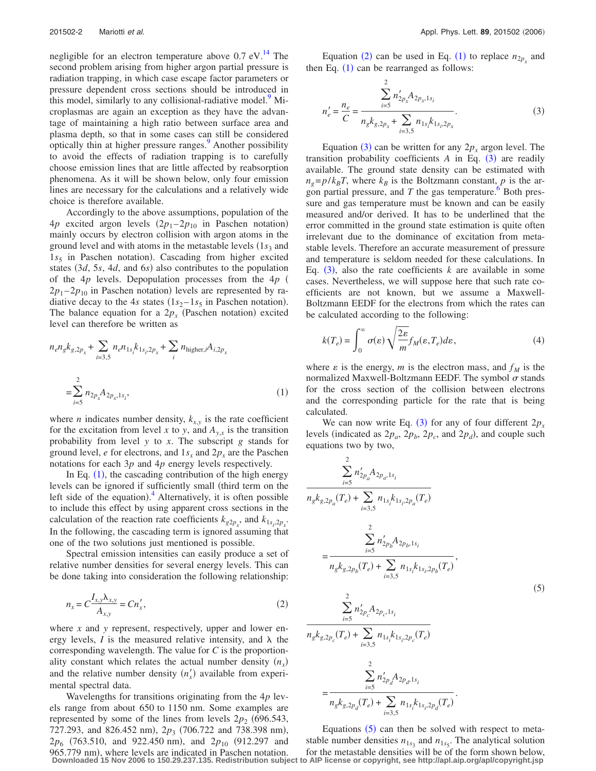negligible for an electron temperature above  $0.7 \text{ eV}$ .<sup>14</sup> The second problem arising from higher argon partial pressure is radiation trapping, in which case escape factor parameters or pressure dependent cross sections should be introduced in this model, similarly to any collisional-radiative model.<sup>9</sup> Microplasmas are again an exception as they have the advantage of maintaining a high ratio between surface area and plasma depth, so that in some cases can still be considered optically thin at higher pressure ranges.<sup>9</sup> Another possibility to avoid the effects of radiation trapping is to carefully choose emission lines that are little affected by reabsorption phenomena. As it will be shown below, only four emission lines are necessary for the calculations and a relatively wide choice is therefore available.

Accordingly to the above assumptions, population of the  $4p$  excited argon levels  $(2p_1 - 2p_{10})$  in Paschen notation) mainly occurs by electron collision with argon atoms in the ground level and with atoms in the metastable levels  $(1s<sub>3</sub>$  and 1s<sub>5</sub> in Paschen notation). Cascading from higher excited states (3*d*, 5*s*, 4*d*, and 6*s*) also contributes to the population of the 4*p* levels. Depopulation processes from the 4*p*  $2p_1 - 2p_{10}$  in Paschen notation) levels are represented by radiative decay to the 4*s* states  $(1s_2 - 1s_5)$  in Paschen notation). The balance equation for a  $2p_x$  (Paschen notation) excited level can therefore be written as

<span id="page-1-0"></span>
$$
n_e n_g k_{g,2p_x} + \sum_{i=3,5} n_e n_{1s_i} k_{1s_i,2p_x} + \sum_i n_{\text{higher},i} A_{i,2p_x}
$$
  
= 
$$
\sum_{i=5}^{2} n_{2p_x} A_{2p_x,1s_i},
$$
 (1)

where *n* indicates number density,  $k_{x,y}$  is the rate coefficient for the excitation from level *x* to *y*, and  $A_{v,x}$  is the transition probability from level *y* to *x*. The subscript *g* stands for ground level,  $e$  for electrons, and  $1s_x$  and  $2p_x$  are the Paschen notations for each 3*p* and 4*p* energy levels respectively.

In Eq.  $(1)$  $(1)$  $(1)$ , the cascading contribution of the high energy levels can be ignored if sufficiently small (third term on the left side of the equation).<sup>[4](#page-2-0)</sup> Alternatively, it is often possible to include this effect by using apparent cross sections in the calculation of the reaction rate coefficients  $k_{g2p_x}$ , and  $k_{1s_i,2p_x}$ . In the following, the cascading term is ignored assuming that one of the two solutions just mentioned is possible.

<span id="page-1-1"></span>Spectral emission intensities can easily produce a set of relative number densities for several energy levels. This can be done taking into consideration the following relationship:

$$
n_x = C \frac{I_{x,y} \lambda_{x,y}}{A_{x,y}} = C n'_x,
$$
\n(2)

where *x* and *y* represent, respectively, upper and lower energy levels,  $I$  is the measured relative intensity, and  $\lambda$  the corresponding wavelength. The value for *C* is the proportionality constant which relates the actual number density  $(n_x)$ and the relative number density  $(n_x)$  available from experimental spectral data.

Wavelengths for transitions originating from the 4*p* levels range from about 650 to 1150 nm. Some examples are represented by some of the lines from levels  $2p_2$  (696.543, 727.293, and 826.452 nm), 2p<sub>3</sub> (706.722 and 738.398 nm),  $2p_6$  (763.510, and 922.450 nm), and  $2p_{10}$  (912.297 and 965.779 nm), where levels are indicated in Paschen notation. **Downloaded 15 Nov 2006 to 150.29.237.135. Redistribution subject to AIP license or copyright, see http://apl.aip.org/apl/copyright.jsp**

<span id="page-1-2"></span>Equation ([2](#page-1-1)) can be used in Eq. ([1](#page-1-0)) to replace  $n_{2p_x}$  and then Eq.  $(1)$  $(1)$  $(1)$  can be rearranged as follows:

$$
n'_{e} = \frac{n_{e}}{C} = \frac{\sum_{i=5}^{2} n'_{2p_{x}} A_{2p_{x},1s_{i}}}{n_{g} k_{g,2p_{x}} + \sum_{i=3,5}^{2} n_{1s_{i}} k_{1s_{i},2p_{x}}}. \tag{3}
$$

Equation ([3](#page-1-2)) can be written for any  $2p_x$  argon level. The transition probability coefficients  $A$  in Eq.  $(3)$  $(3)$  $(3)$  are readily available. The ground state density can be estimated with  $n_g = p/k_B T$ , where  $k_B$  is the Boltzmann constant, *p* is the argon partial pressure, and  $T$  the gas temperature.<sup> $\degree$ </sup> Both pressure and gas temperature must be known and can be easily measured and/or derived. It has to be underlined that the error committed in the ground state estimation is quite often irrelevant due to the dominance of excitation from metastable levels. Therefore an accurate measurement of pressure and temperature is seldom needed for these calculations. In Eq.  $(3)$  $(3)$  $(3)$ , also the rate coefficients *k* are available in some cases. Nevertheless, we will suppose here that such rate coefficients are not known, but we assume a Maxwell-Boltzmann EEDF for the electrons from which the rates can be calculated according to the following:

<span id="page-1-4"></span>
$$
k(T_e) = \int_0^\infty \sigma(\varepsilon) \sqrt{\frac{2\varepsilon}{m}} f_M(\varepsilon, T_e) d\varepsilon, \tag{4}
$$

where  $\varepsilon$  is the energy, *m* is the electron mass, and  $f_M$  is the normalized Maxwell-Boltzmann EEDF. The symbol  $\sigma$  stands for the cross section of the collision between electrons and the corresponding particle for the rate that is being calculated.

<span id="page-1-3"></span>We can now write Eq.  $(3)$  $(3)$  $(3)$  for any of four different  $2p_x$ levels (indicated as  $2p_a$ ,  $2p_b$ ,  $2p_c$ , and  $2p_d$ ), and couple such equations two by two,

 $\overline{2}$ 

$$
\sum_{i=5}^{n} n'_{2p_a} A_{2p_a,1s_i}
$$
\n
$$
n_g k_{g,2p_a}(T_e) + \sum_{i=3,5}^{n} n_{1s_i} k_{1s_i,2p_a}(T_e)
$$
\n
$$
= \frac{\sum_{i=5}^{2} n'_{2p_b} A_{2p_b,1s_i}}{n_g k_{g,2p_b}(T_e) + \sum_{i=3,5}^{2} n_{1s_i} k_{1s_i,2p_b}(T_e)},
$$
\n
$$
\sum_{i=5}^{2} n'_{2p_c} A_{2p_c,1s_i}
$$
\n
$$
n_g k_{g,2p_c}(T_e) + \sum_{i=3,5}^{2} n_{1s_i} k_{1s_i,2p_c}(T_e)
$$
\n
$$
= \frac{\sum_{i=5}^{2} n'_{2p_d} A_{2p_d,1s_i}}{n_g}
$$

 $n_g k_{g,2p_d}(T_e) + \sum_{i=3,5} n_{1s_i} k_{1s_i,2p_d}(T_e)$ .

Equations  $(5)$  $(5)$  $(5)$  can then be solved with respect to metastable number densities  $n_{1s_3}$  and  $n_{1s_5}$ . The analytical solution for the metastable densities will be of the form shown below,